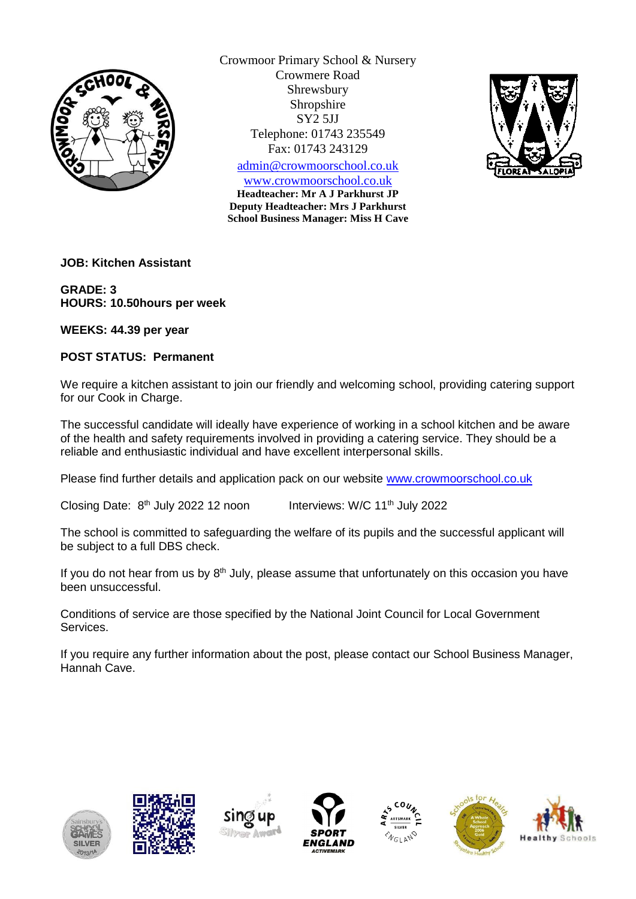

Crowmoor Primary School & Nursery Crowmere Road Shrewsbury Shropshire SY2 5JJ Telephone: 01743 235549 Fax: 01743 243129

[admin@crowmoorschool.co.uk](mailto:admin@crowmoorschool.co.uk) [www.crowmoorschool.co.uk](http://www.crowmoorschool.co.uk/)

**Headteacher: Mr A J Parkhurst JP Deputy Headteacher: Mrs J Parkhurst School Business Manager: Miss H Cave**



**JOB: Kitchen Assistant**

**GRADE: 3 HOURS: 10.50hours per week**

**WEEKS: 44.39 per year** 

## **POST STATUS: Permanent**

We require a kitchen assistant to join our friendly and welcoming school, providing catering support for our Cook in Charge.

The successful candidate will ideally have experience of working in a school kitchen and be aware of the health and safety requirements involved in providing a catering service. They should be a reliable and enthusiastic individual and have excellent interpersonal skills.

Please find further details and application pack on our website [www.crowmoorschool.co.uk](http://www.crowmoorschool.co.uk/)

Closing Date: 8<sup>th</sup> July 2022 12 noon Interviews: W/C  $11<sup>th</sup>$  July 2022

The school is committed to safeguarding the welfare of its pupils and the successful applicant will be subject to a full DBS check.

If you do not hear from us by  $8<sup>th</sup>$  July, please assume that unfortunately on this occasion you have been unsuccessful.

Conditions of service are those specified by the National Joint Council for Local Government Services.

If you require any further information about the post, please contact our School Business Manager, Hannah Cave.